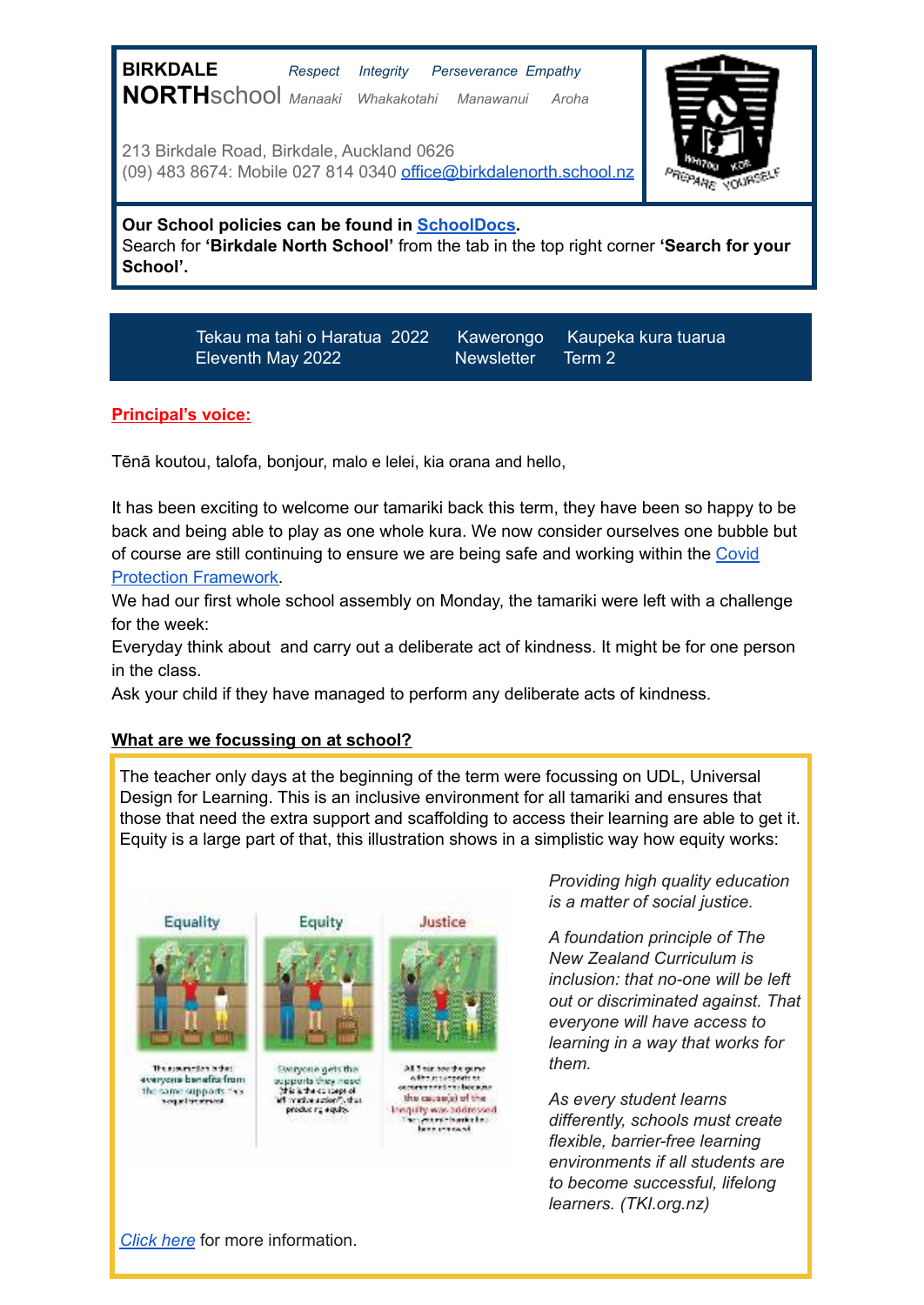| <b>BIRKDALE</b><br>Respect<br><b>Perseverance Empathy</b><br>Integrity<br>NORTHSChool Manaaki Whakakotahi Manawanui<br>Aroha<br>213 Birkdale Road, Birkdale, Auckland 0626<br>(09) 483 8674: Mobile 027 814 0340 office@birkdalenorth.school.nz |  |
|-------------------------------------------------------------------------------------------------------------------------------------------------------------------------------------------------------------------------------------------------|--|
| Our School policies can be found in <b>SchoolDocs</b> .<br>Search for 'Birkdale North School' from the tab in the top right corner 'Search for your<br>School'.                                                                                 |  |

Tekau ma tahi o Haratua 2022 Kawerongo Kaupeka kura tuarua

Eleventh May 2022 Newsletter Term 2

## **Principal's voice:**

Tēnā koutou, talofa, bonjour, malo e lelei, kia orana and hello,

It has been exciting to welcome our tamariki back this term, they have been so happy to be back and being able to play as one whole kura. We now consider ourselves one bubble but of course are still continuing to ensure we are being safe and working within the [Covid](https://docs.google.com/document/d/1z-FSq7AwO1JigQrW-24-nKF06O0PVOVCxd7djvymrVc/edit#heading=h.6rv5fdop5q8) [Protection Framework.](https://docs.google.com/document/d/1z-FSq7AwO1JigQrW-24-nKF06O0PVOVCxd7djvymrVc/edit#heading=h.6rv5fdop5q8)

We had our first whole school assembly on Monday, the tamariki were left with a challenge for the week:

Everyday think about and carry out a deliberate act of kindness. It might be for one person in the class.

Ask your child if they have managed to perform any deliberate acts of kindness.

#### **What are we focussing on at school?**

The teacher only days at the beginning of the term were focussing on UDL, Universal Design for Learning. This is an inclusive environment for all tamariki and ensures that those that need the extra support and scaffolding to access their learning are able to get it. Equity is a large part of that, this illustration shows in a simplistic way how equity works:



*Providing high quality education is a matter of social justice.*

*A foundation principle of The New Zealand Curriculum is inclusion: that no-one will be left out or discriminated against. That everyone will have access to learning in a way that works for them.*

*As every student learns differently, schools must create flexible, barrier-free learning environments if all students are to become successful, lifelong learners. (TKI.org.nz)*

*[Click here](https://inclusive.tki.org.nz/guides/universal-design-for-learning/why-udl-is-valuable/)* for more information.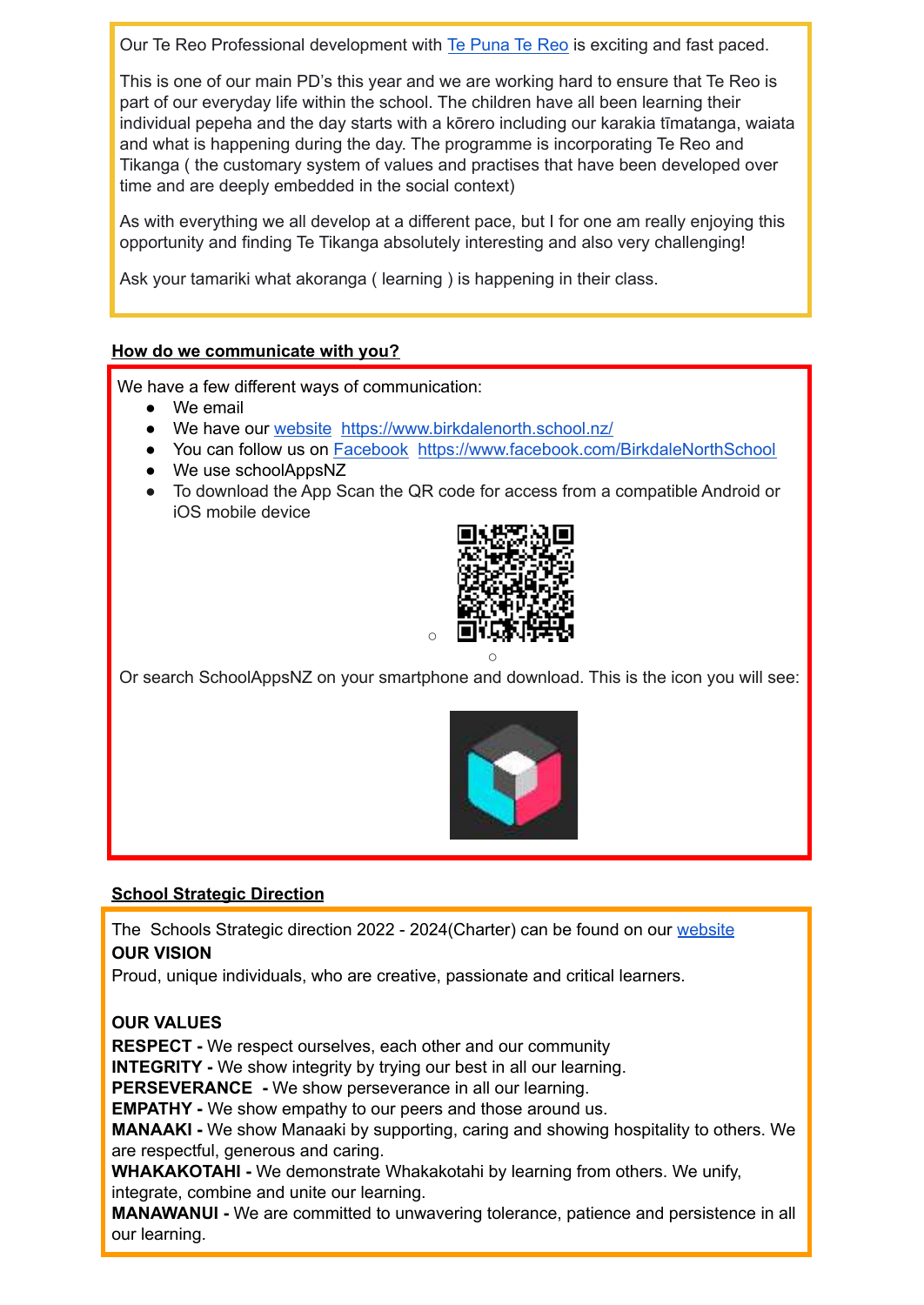Our Te Reo Professional development with [Te Puna Te Reo](https://tepunareomaori.co.nz/) is exciting and fast paced.

This is one of our main PD's this year and we are working hard to ensure that Te Reo is part of our everyday life within the school. The children have all been learning their individual pepeha and the day starts with a kōrero including our karakia tīmatanga, waiata and what is happening during the day. The programme is incorporating Te Reo and Tikanga ( the customary system of values and practises that have been developed over time and are deeply embedded in the social context)

As with everything we all develop at a different pace, but I for one am really enjoying this opportunity and finding Te Tikanga absolutely interesting and also very challenging!

Ask your tamariki what akoranga ( learning ) is happening in their class.

# **How do we communicate with you?**

We have a few different ways of communication:

- We email
- We have our [website https://www.birkdalenorth.school.nz/](https://www.birkdalenorth.school.nz/)
- You can follow us on [Facebook https://www.facebook.com/BirkdaleNorthSchool](https://www.facebook.com/BirkdaleNorthSchool)
- We use schoolAppsNZ
- To download the App Scan the QR code for access from a compatible Android or iOS mobile device



Or search SchoolAppsNZ on your smartphone and download. This is the icon you will see:



# **School Strategic Direction**

The Schools Strategic direction 2022 - 2024(Charter) can be found on our [website](https://www.birkdalenorth.school.nz/school-charter/) **OUR VISION**

Proud, unique individuals, who are creative, passionate and critical learners.

# **OUR VALUES**

**RESPECT -** We respect ourselves, each other and our community

**INTEGRITY -** We show integrity by trying our best in all our learning.

**PERSEVERANCE -** We show perseverance in all our learning.

**EMPATHY -** We show empathy to our peers and those around us.

**MANAAKI -** We show Manaaki by supporting, caring and showing hospitality to others. We are respectful, generous and caring.

**WHAKAKOTAHI -** We demonstrate Whakakotahi by learning from others. We unify, integrate, combine and unite our learning.

**MANAWANUI -** We are committed to unwavering tolerance, patience and persistence in all our learning.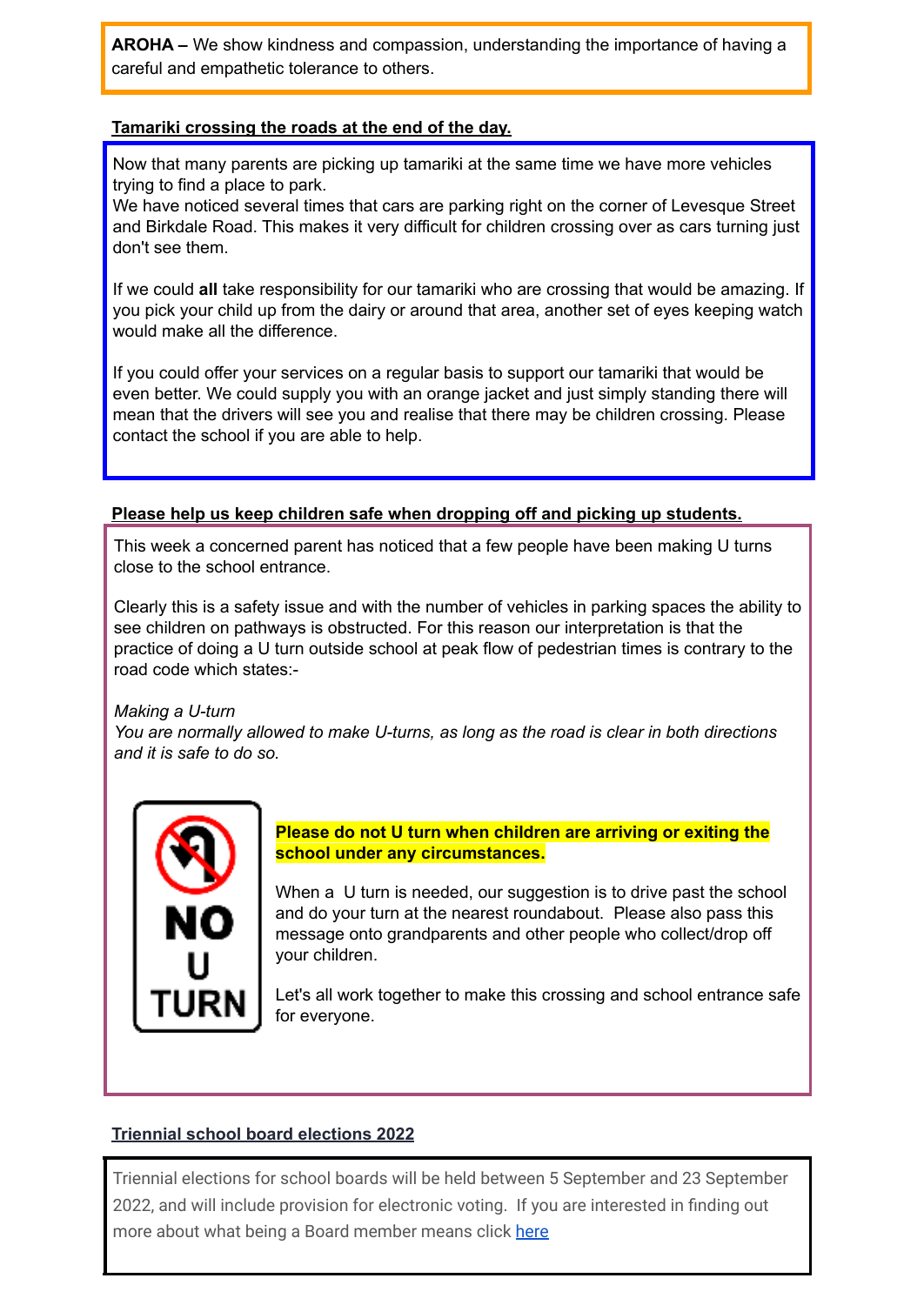**AROHA –** We show kindness and compassion, understanding the importance of having a careful and empathetic tolerance to others.

## **Tamariki crossing the roads at the end of the day.**

Now that many parents are picking up tamariki at the same time we have more vehicles trying to find a place to park.

We have noticed several times that cars are parking right on the corner of Levesque Street and Birkdale Road. This makes it very difficult for children crossing over as cars turning just don't see them.

If we could **all** take responsibility for our tamariki who are crossing that would be amazing. If you pick your child up from the dairy or around that area, another set of eyes keeping watch would make all the difference.

If you could offer your services on a regular basis to support our tamariki that would be even better. We could supply you with an orange jacket and just simply standing there will mean that the drivers will see you and realise that there may be children crossing. Please contact the school if you are able to help.

## **Please help us keep children safe when dropping off and picking up students.**

This week a concerned parent has noticed that a few people have been making U turns close to the school entrance.

Clearly this is a safety issue and with the number of vehicles in parking spaces the ability to see children on pathways is obstructed. For this reason our interpretation is that the practice of doing a U turn outside school at peak flow of pedestrian times is contrary to the road code which states:-

# *Making a U-turn*

*You are normally allowed to make U-turns, as long as the road is clear in both directions and it is safe to do so.*



**Please do not U turn when children are arriving or exiting the school under any circumstances.**

When a U turn is needed, our suggestion is to drive past the school and do your turn at the nearest roundabout. Please also pass this message onto grandparents and other people who collect/drop off your children.

Let's all work together to make this crossing and school entrance safe for everyone.

### **Triennial school board elections 2022**

Triennial elections for school boards will be held between 5 September and 23 September 2022, and will include provision for electronic voting. If you are interested in finding out more about what being a Board member means click [here](https://www.schoolboardelections.org.nz/becoming-a-board-member/)